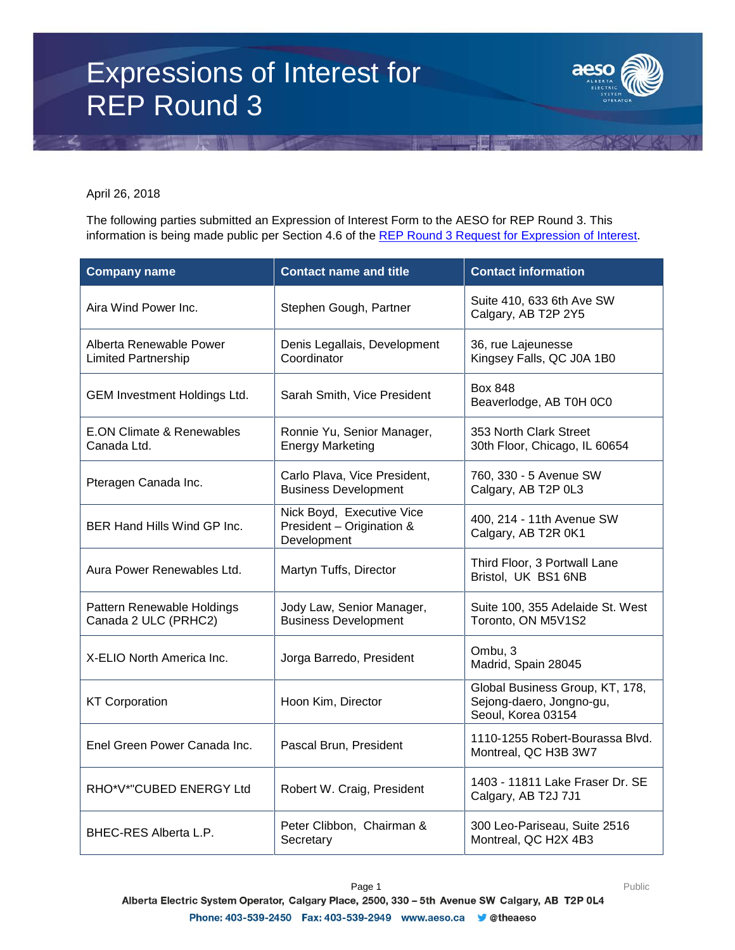## Expressions of Interest for REP Round 3



April 26, 2018

The following parties submitted an Expression of Interest Form to the AESO for REP Round 3. This information is being made public per Section 4.6 of the [REP Round 3 Request for Expression of Interest.](https://www.aeso.ca/assets/Uploads/REP-Round-3-REOI-FINAL.pdf)

| <b>Company name</b>                                   | <b>Contact name and title</b>                                         | <b>Contact information</b>                                                        |
|-------------------------------------------------------|-----------------------------------------------------------------------|-----------------------------------------------------------------------------------|
| Aira Wind Power Inc.                                  | Stephen Gough, Partner                                                | Suite 410, 633 6th Ave SW<br>Calgary, AB T2P 2Y5                                  |
| Alberta Renewable Power<br><b>Limited Partnership</b> | Denis Legallais, Development<br>Coordinator                           | 36, rue Lajeunesse<br>Kingsey Falls, QC J0A 1B0                                   |
| GEM Investment Holdings Ltd.                          | Sarah Smith, Vice President                                           | Box 848<br>Beaverlodge, AB T0H 0C0                                                |
| <b>E.ON Climate &amp; Renewables</b><br>Canada Ltd.   | Ronnie Yu, Senior Manager,<br><b>Energy Marketing</b>                 | 353 North Clark Street<br>30th Floor, Chicago, IL 60654                           |
| Pteragen Canada Inc.                                  | Carlo Plava, Vice President,<br><b>Business Development</b>           | 760, 330 - 5 Avenue SW<br>Calgary, AB T2P 0L3                                     |
| BER Hand Hills Wind GP Inc.                           | Nick Boyd, Executive Vice<br>President - Origination &<br>Development | 400, 214 - 11th Avenue SW<br>Calgary, AB T2R 0K1                                  |
| Aura Power Renewables Ltd.                            | Martyn Tuffs, Director                                                | Third Floor, 3 Portwall Lane<br>Bristol, UK BS1 6NB                               |
| Pattern Renewable Holdings<br>Canada 2 ULC (PRHC2)    | Jody Law, Senior Manager,<br><b>Business Development</b>              | Suite 100, 355 Adelaide St. West<br>Toronto, ON M5V1S2                            |
| X-ELIO North America Inc.                             | Jorga Barredo, President                                              | Ombu, 3<br>Madrid, Spain 28045                                                    |
| <b>KT Corporation</b>                                 | Hoon Kim, Director                                                    | Global Business Group, KT, 178,<br>Sejong-daero, Jongno-gu,<br>Seoul, Korea 03154 |
| Enel Green Power Canada Inc.                          | Pascal Brun, President                                                | 1110-1255 Robert-Bourassa Blvd.<br>Montreal, QC H3B 3W7                           |
| RHO*V*"CUBED ENERGY Ltd                               | Robert W. Craig, President                                            | 1403 - 11811 Lake Fraser Dr. SE<br>Calgary, AB T2J 7J1                            |
| BHEC-RES Alberta L.P.                                 | Peter Clibbon, Chairman &<br>Secretary                                | 300 Leo-Pariseau, Suite 2516<br>Montreal, QC H2X 4B3                              |